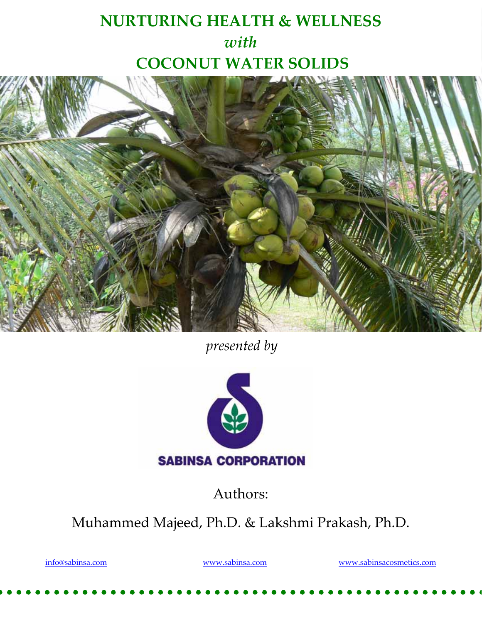# **NURTURING HEALTH & WELLNESS**  *with* **COCONUT WATER SOLIDS**



*presented by*



Authors:

Muhammed Majeed, Ph.D. & Lakshmi Prakash, Ph.D.

info@sabinsa.com www.sabinsa.com www.sabinsacosmetics.com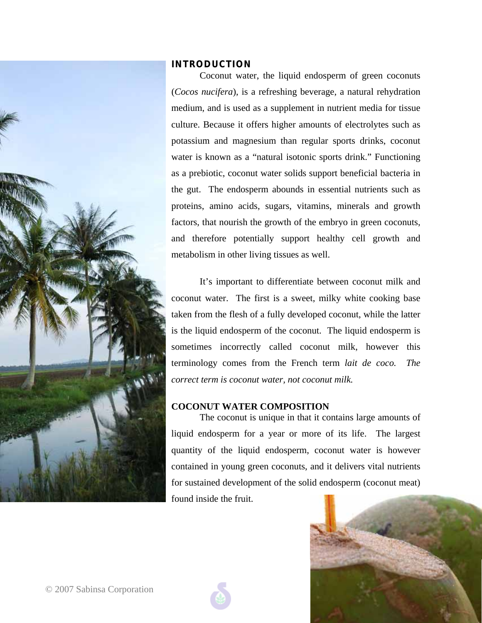

## **INTRODUCTION**

Coconut water, the liquid endosperm of green coconuts (*Cocos nucifera*), is a refreshing beverage, a natural rehydration medium, and is used as a supplement in nutrient media for tissue culture. Because it offers higher amounts of electrolytes such as potassium and magnesium than regular sports drinks, coconut water is known as a "natural isotonic sports drink." Functioning as a prebiotic, coconut water solids support beneficial bacteria in the gut. The endosperm abounds in essential nutrients such as proteins, amino acids, sugars, vitamins, minerals and growth factors, that nourish the growth of the embryo in green coconuts, and therefore potentially support healthy cell growth and metabolism in other living tissues as well.

It's important to differentiate between coconut milk and coconut water. The first is a sweet, milky white cooking base taken from the flesh of a fully developed coconut, while the latter is the liquid endosperm of the coconut. The liquid endosperm is sometimes incorrectly called coconut milk, however this terminology comes from the French term *lait de coco. The correct term is coconut water, not coconut milk.* 

# **COCONUT WATER COMPOSITION**

 The coconut is unique in that it contains large amounts of liquid endosperm for a year or more of its life. The largest quantity of the liquid endosperm, coconut water is however contained in young green coconuts, and it delivers vital nutrients for sustained development of the solid endosperm (coconut meat) found inside the fruit.

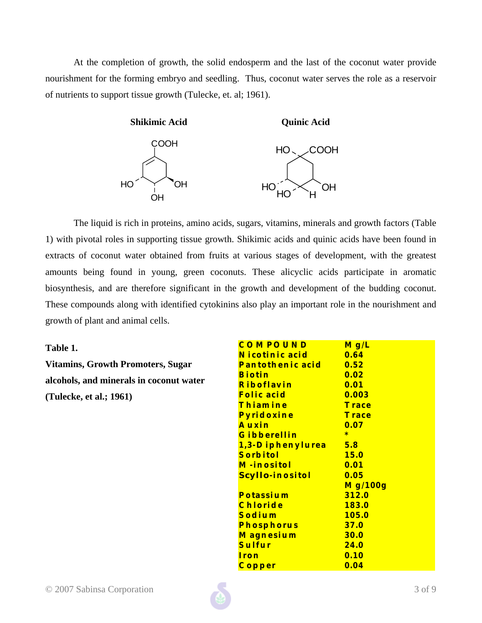At the completion of growth, the solid endosperm and the last of the coconut water provide nourishment for the forming embryo and seedling. Thus, coconut water serves the role as a reservoir of nutrients to support tissue growth (Tulecke, et. al; 1961).



 The liquid is rich in proteins, amino acids, sugars, vitamins, minerals and growth factors (Table 1) with pivotal roles in supporting tissue growth. Shikimic acids and quinic acids have been found in extracts of coconut water obtained from fruits at various stages of development, with the greatest amounts being found in young, green coconuts. These alicyclic acids participate in aromatic biosynthesis, and are therefore significant in the growth and development of the budding coconut. These compounds along with identified cytokinins also play an important role in the nourishment and growth of plant and animal cells.

#### **Table 1.**

**Vitamins, Growth Promoters, Sugar alcohols, and minerals in coconut water (Tulecke, et al.; 1961)** 

| Mg/L         |
|--------------|
| 0.64         |
| 0.52         |
| 0.02         |
| 0.01         |
| 0.003        |
| Trace        |
| Trace        |
| 0.07         |
| $\ast$       |
| 5.8          |
| <b>15.0</b>  |
| 0.01         |
| 0.05         |
| Mg/100g      |
| <b>312.0</b> |
| 183.0        |
| <b>105.0</b> |
| 37.0         |
| 30.0         |
| <b>24.0</b>  |
| 0.10         |
| 0.04         |
|              |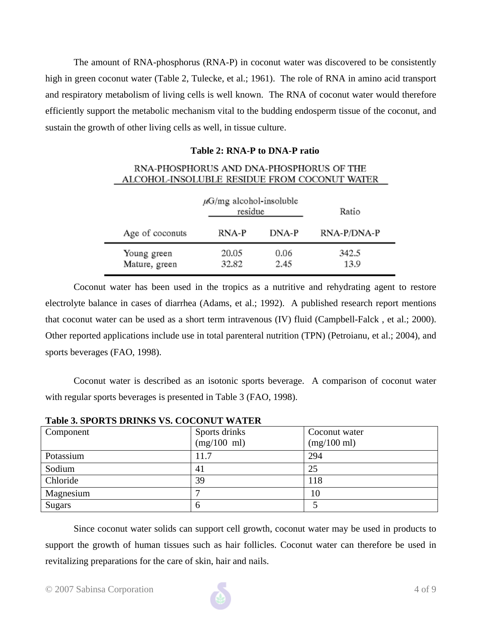The amount of RNA-phosphorus (RNA-P) in coconut water was discovered to be consistently high in green coconut water (Table 2, Tulecke, et al.; 1961). The role of RNA in amino acid transport and respiratory metabolism of living cells is well known. The RNA of coconut water would therefore efficiently support the metabolic mechanism vital to the budding endosperm tissue of the coconut, and sustain the growth of other living cells as well, in tissue culture.

#### **Table 2: RNA-P to DNA-P ratio**

#### RNA-PHOSPHORUS AND DNA-PHOSPHORUS OF THE ALCOHOL-INSOLUBLE RESIDUE FROM COCONUT WATER

|                              | $\mu$ G/mg alcohol-insoluble<br>residue |              | Ratio         |
|------------------------------|-----------------------------------------|--------------|---------------|
| Age of coconuts              | RNA-P                                   | DNA-P        | RNA-P/DNA-P   |
| Young green<br>Mature, green | 20.05<br>32.82                          | 0.06<br>2.45 | 342.5<br>13.9 |

Coconut water has been used in the tropics as a nutritive and rehydrating agent to restore electrolyte balance in cases of diarrhea (Adams, et al.; 1992). A published research report mentions that coconut water can be used as a short term intravenous (IV) fluid (Campbell-Falck , et al.; 2000). Other reported applications include use in total parenteral nutrition (TPN) (Petroianu, et al.; 2004), and sports beverages (FAO, 1998).

Coconut water is described as an isotonic sports beverage. A comparison of coconut water with regular sports beverages is presented in Table 3 (FAO, 1998).

| Component     | Sports drinks         | Coconut water         |  |  |
|---------------|-----------------------|-----------------------|--|--|
|               | $(mg/100 \text{ ml})$ | $(mg/100 \text{ ml})$ |  |  |
| Potassium     | 11.7                  | 294                   |  |  |
| Sodium        | 41                    | 25                    |  |  |
| Chloride      | 39                    | 118                   |  |  |
| Magnesium     |                       | 10                    |  |  |
| <b>Sugars</b> |                       |                       |  |  |

**Table 3. SPORTS DRINKS VS. COCONUT WATER** 

Since coconut water solids can support cell growth, coconut water may be used in products to support the growth of human tissues such as hair follicles. Coconut water can therefore be used in revitalizing preparations for the care of skin, hair and nails.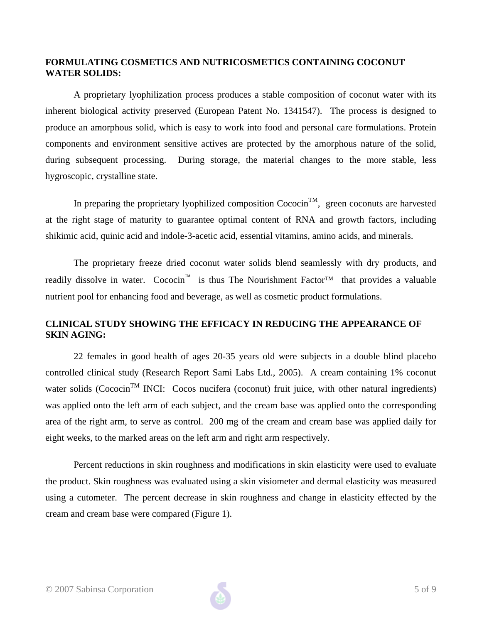## **FORMULATING COSMETICS AND NUTRICOSMETICS CONTAINING COCONUT WATER SOLIDS:**

A proprietary lyophilization process produces a stable composition of coconut water with its inherent biological activity preserved (European Patent No. 1341547). The process is designed to produce an amorphous solid, which is easy to work into food and personal care formulations. Protein components and environment sensitive actives are protected by the amorphous nature of the solid, during subsequent processing. During storage, the material changes to the more stable, less hygroscopic, crystalline state.

In preparing the proprietary lyophilized composition  $Cococin<sup>TM</sup>$ , green coconuts are harvested at the right stage of maturity to guarantee optimal content of RNA and growth factors, including shikimic acid, quinic acid and indole-3-acetic acid, essential vitamins, amino acids, and minerals.

The proprietary freeze dried coconut water solids blend seamlessly with dry products, and readily dissolve in water. Cococin<sup>™</sup> is thus The Nourishment Factor<sup>™</sup> that provides a valuable nutrient pool for enhancing food and beverage, as well as cosmetic product formulations.

## **CLINICAL STUDY SHOWING THE EFFICACY IN REDUCING THE APPEARANCE OF SKIN AGING:**

 22 females in good health of ages 20-35 years old were subjects in a double blind placebo controlled clinical study (Research Report Sami Labs Ltd., 2005). A cream containing 1% coconut water solids (Cococin<sup>TM</sup> INCI: Cocos nucifera (coconut) fruit juice, with other natural ingredients) was applied onto the left arm of each subject, and the cream base was applied onto the corresponding area of the right arm, to serve as control. 200 mg of the cream and cream base was applied daily for eight weeks, to the marked areas on the left arm and right arm respectively.

Percent reductions in skin roughness and modifications in skin elasticity were used to evaluate the product. Skin roughness was evaluated using a skin visiometer and dermal elasticity was measured using a cutometer. The percent decrease in skin roughness and change in elasticity effected by the cream and cream base were compared (Figure 1).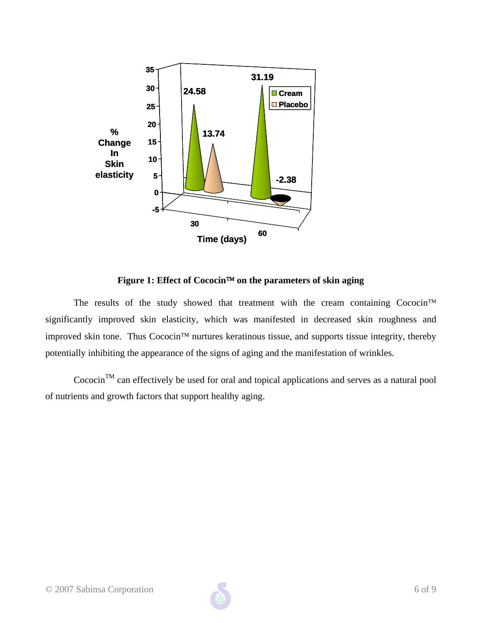

**Figure 1: Effect of Cococin**™ **on the parameters of skin aging** 

The results of the study showed that treatment with the cream containing Cococin<sup>™</sup> significantly improved skin elasticity, which was manifested in decreased skin roughness and improved skin tone. Thus Cococin™ nurtures keratinous tissue, and supports tissue integrity, thereby potentially inhibiting the appearance of the signs of aging and the manifestation of wrinkles.

Cococin<sup>TM</sup> can effectively be used for oral and topical applications and serves as a natural pool of nutrients and growth factors that support healthy aging.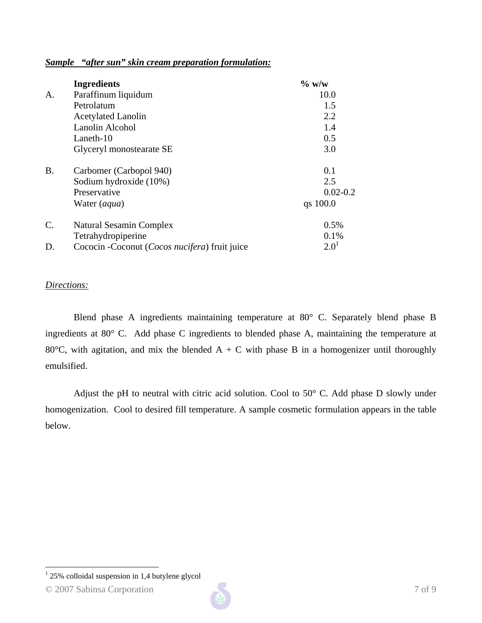### *Sample "after sun" skin cream preparation formulation:*

|                 | <b>Ingredients</b>                             | $\%$ w/w     |
|-----------------|------------------------------------------------|--------------|
| A.              | Paraffinum liquidum                            | 10.0         |
|                 | Petrolatum                                     | 1.5          |
|                 | <b>Acetylated Lanolin</b>                      | 2.2          |
|                 | Lanolin Alcohol                                | 1.4          |
|                 | Laneth-10                                      | 0.5          |
|                 | Glyceryl monostearate SE                       | 3.0          |
| <b>B.</b>       | Carbomer (Carbopol 940)                        | 0.1          |
|                 | Sodium hydroxide (10%)                         | 2.5          |
|                 | Preservative                                   | $0.02 - 0.2$ |
|                 | Water (aqua)                                   | qs 100.0     |
| $\mathcal{C}$ . | Natural Sesamin Complex                        | 0.5%         |
|                 | Tetrahydropiperine                             | 0.1%         |
| D.              | Cococin - Coconut (Cocos nucifera) fruit juice | $2.0^{1}$    |

#### *Directions:*

Blend phase A ingredients maintaining temperature at 80° C. Separately blend phase B ingredients at 80° C. Add phase C ingredients to blended phase A, maintaining the temperature at 80 $^{\circ}$ C, with agitation, and mix the blended A + C with phase B in a homogenizer until thoroughly emulsified.

Adjust the pH to neutral with citric acid solution. Cool to 50° C. Add phase D slowly under homogenization. Cool to desired fill temperature. A sample cosmetic formulation appears in the table below.

<u>.</u>

 $125\%$  colloidal suspension in 1,4 butylene glycol

<sup>© 2007</sup> Sabinsa Corporation 7 of 9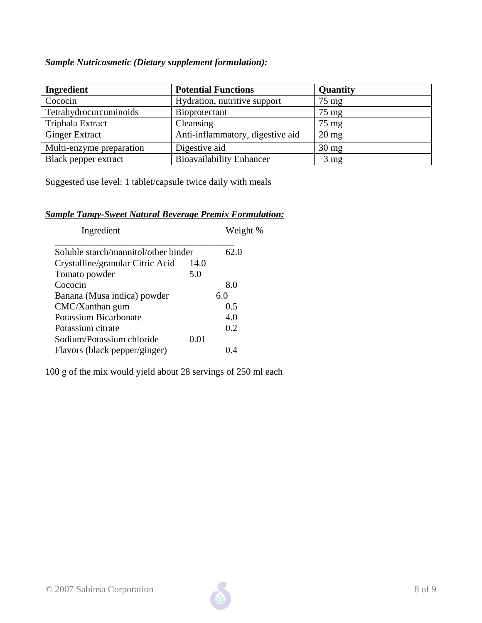# *Sample Nutricosmetic (Dietary supplement formulation):*

| Ingredient               | <b>Potential Functions</b>       | Quantity        |
|--------------------------|----------------------------------|-----------------|
| Cococin                  | Hydration, nutritive support     | $75 \text{ mg}$ |
| Tetrahydrocurcuminoids   | Bioprotectant                    | $75 \text{ mg}$ |
| Triphala Extract         | Cleansing                        | $75 \text{ mg}$ |
| <b>Ginger Extract</b>    | Anti-inflammatory, digestive aid | $20 \text{ mg}$ |
| Multi-enzyme preparation | Digestive aid                    | $30 \text{ mg}$ |
| Black pepper extract     | <b>Bioavailability Enhancer</b>  | $3 \text{ mg}$  |

Suggested use level: 1 tablet/capsule twice daily with meals

# *Sample Tangy-Sweet Natural Beverage Premix Formulation:*

| Ingredient                           |      | Weight % |
|--------------------------------------|------|----------|
| Soluble starch/mannitol/other binder |      | 62.0     |
| Crystalline/granular Citric Acid     | 14.0 |          |
| Tomato powder                        | 5.0  |          |
| Cococin                              |      | 8.0      |
| Banana (Musa indica) powder          |      | 6.0      |
| $CMC/X$ anthan gum                   |      | 0.5      |
| Potassium Bicarbonate                |      | 4.0      |
| Potassium citrate                    |      | 0.2      |
| Sodium/Potassium chloride            | 0.01 |          |
| Flavors (black pepper/ginger)        |      | () 4     |

100 g of the mix would yield about 28 servings of 250 ml each